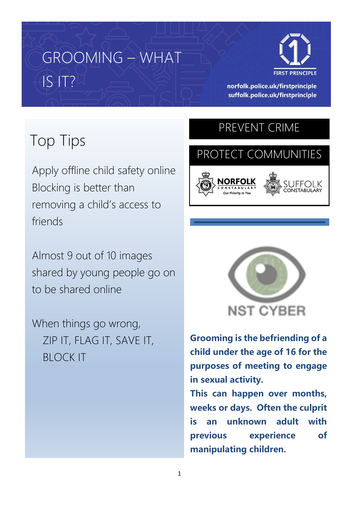# GROOMING – WHAT IS IT?



norfolk.police.uk/firstprinciple suffolk.police.uk/firstprinciple

## Top Tips

Apply offline child safety online Blocking is better than removing a child's access to friends

Almost 9 out of 10 images shared by young people go on to be shared online

When things go wrong, ZIP IT, FLAG IT, SAVE IT, BLOCK IT

### PREVENT CRIME

## PROTECT COMMUNITIES





**Grooming is the befriending of a child under the age of 16 for the purposes of meeting to engage in sexual activity.**

**This can happen over months, weeks or days. Often the culprit is an unknown adult with previous experience of manipulating children.**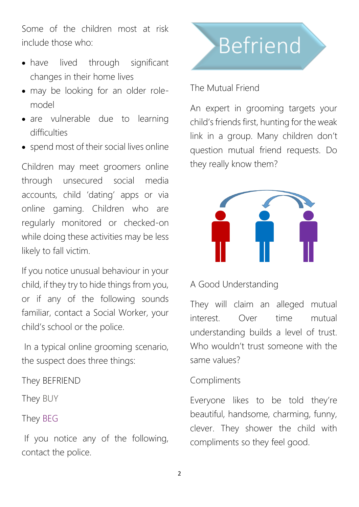Some of the children most at risk include those who:

- have lived through significant changes in their home lives
- may be looking for an older rolemodel
- are vulnerable due to learning difficulties
- spend most of their social lives online

Children may meet groomers online through unsecured social media accounts, child 'dating' apps or via online gaming. Children who are regularly monitored or checked-on while doing these activities may be less likely to fall victim.

If you notice unusual behaviour in your child, if they try to hide things from you, or if any of the following sounds familiar, contact a Social Worker, your child's school or the police.

In a typical online grooming scenario, the suspect does three things:

They BEFRIEND

They BUY

#### They BEG

If you notice any of the following, contact the police.



#### The Mutual Friend

An expert in grooming targets your child's friends first, hunting for the weak link in a group. Many children don't question mutual friend requests. Do they really know them?



A Good Understanding

They will claim an alleged mutual interest. Over time mutual understanding builds a level of trust. Who wouldn't trust someone with the same values?

#### Compliments

Everyone likes to be told they're beautiful, handsome, charming, funny, clever. They shower the child with compliments so they feel good.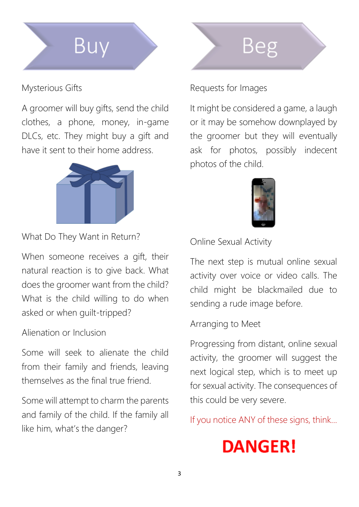

#### Mysterious Gifts

A groomer will buy gifts, send the child clothes, a phone, money, in-game DLCs, etc. They might buy a gift and have it sent to their home address.



What Do They Want in Return?

When someone receives a gift, their natural reaction is to give back. What does the groomer want from the child? What is the child willing to do when asked or when guilt-tripped?

#### Alienation or Inclusion

Some will seek to alienate the child from their family and friends, leaving themselves as the final true friend.

Some will attempt to charm the parents and family of the child. If the family all like him, what's the danger?



#### Requests for Images

It might be considered a game, a laugh or it may be somehow downplayed by the groomer but they will eventually ask for photos, possibly indecent photos of the child.



Online Sexual Activity

The next step is mutual online sexual activity over voice or video calls. The child might be blackmailed due to sending a rude image before.

#### Arranging to Meet

Progressing from distant, online sexual activity, the groomer will suggest the next logical step, which is to meet up for sexual activity. The consequences of this could be very severe.

If you notice ANY of these signs, think...